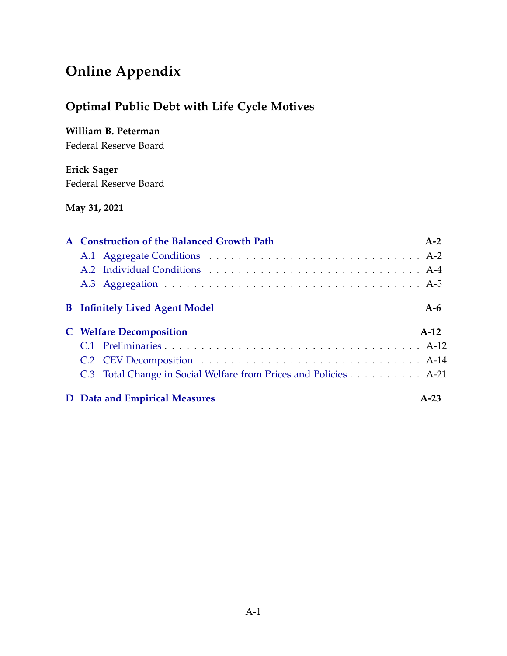# <span id="page-0-0"></span>**Online Appendix**

## **Optimal Public Debt with Life Cycle Motives**

## **William B. Peterman**

Federal Reserve Board

## **Erick Sager** Federal Reserve Board

#### **May 31, 2021**

| A Construction of the Balanced Growth Path                       | $A-2$  |
|------------------------------------------------------------------|--------|
|                                                                  |        |
|                                                                  |        |
|                                                                  |        |
| <b>B</b> Infinitely Lived Agent Model                            | A-6    |
| <b>C</b> Welfare Decomposition                                   | $A-12$ |
|                                                                  |        |
|                                                                  |        |
| C.3 Total Change in Social Welfare from Prices and Policies A-21 |        |
| <b>D</b> Data and Empirical Measures                             | $A-23$ |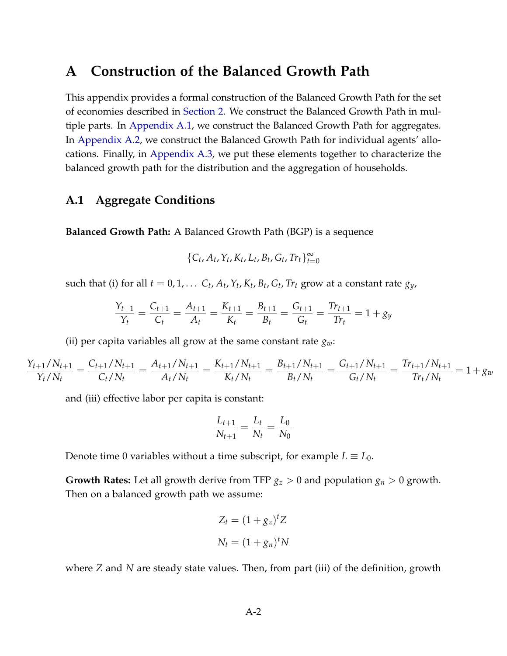## <span id="page-1-0"></span>**A Construction of the Balanced Growth Path**

This appendix provides a formal construction of the Balanced Growth Path for the set of economies described in [Section 2.](#page-0-0) We construct the Balanced Growth Path in multiple parts. In [Appendix A.1,](#page-1-1) we construct the Balanced Growth Path for aggregates. In [Appendix A.2,](#page-3-0) we construct the Balanced Growth Path for individual agents' allocations. Finally, in [Appendix A.3,](#page-4-0) we put these elements together to characterize the balanced growth path for the distribution and the aggregation of households.

#### <span id="page-1-1"></span>**A.1 Aggregate Conditions**

**Balanced Growth Path:** A Balanced Growth Path (BGP) is a sequence

$$
\{C_t, A_t, Y_t, K_t, L_t, B_t, G_t, Tr_t\}_{t=0}^{\infty}
$$

such that (i) for all  $t = 0, 1, \ldots, C_t, A_t, Y_t, K_t, B_t, G_t, Tr_t$  grow at a constant rate  $g_y$ ,

$$
\frac{Y_{t+1}}{Y_t} = \frac{C_{t+1}}{C_t} = \frac{A_{t+1}}{A_t} = \frac{K_{t+1}}{K_t} = \frac{B_{t+1}}{B_t} = \frac{G_{t+1}}{G_t} = \frac{Tr_{t+1}}{Tr_t} = 1 + gy
$$

(ii) per capita variables all grow at the same constant rate  $g_w$ :

$$
\frac{Y_{t+1}/N_{t+1}}{Y_t/N_t} = \frac{C_{t+1}/N_{t+1}}{C_t/N_t} = \frac{A_{t+1}/N_{t+1}}{A_t/N_t} = \frac{K_{t+1}/N_{t+1}}{K_t/N_t} = \frac{B_{t+1}/N_{t+1}}{B_t/N_t} = \frac{G_{t+1}/N_{t+1}}{G_t/N_t} = \frac{Tr_{t+1}/N_{t+1}}{Tr_t/N_t} = 1 + g_w
$$

and (iii) effective labor per capita is constant:

$$
\frac{L_{t+1}}{N_{t+1}} = \frac{L_t}{N_t} = \frac{L_0}{N_0}
$$

Denote time 0 variables without a time subscript, for example  $L \equiv L_0$ .

**Growth Rates:** Let all growth derive from TFP  $g_z > 0$  and population  $g_n > 0$  growth. Then on a balanced growth path we assume:

$$
Z_t = (1 + g_z)^t Z
$$

$$
N_t = (1 + g_n)^t N
$$

where *Z* and *N* are steady state values. Then, from part (iii) of the definition, growth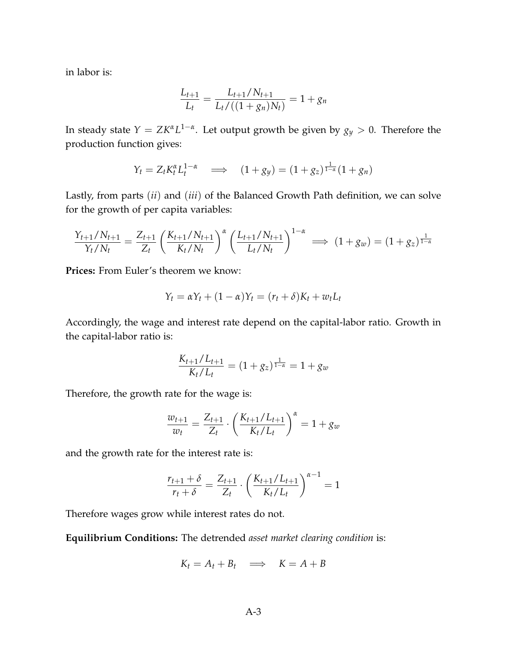in labor is:

$$
\frac{L_{t+1}}{L_t} = \frac{L_{t+1}/N_{t+1}}{L_t/((1+g_n)N_t)} = 1+g_n
$$

In steady state  $Y = ZK^{\alpha}L^{1-\alpha}$ . Let output growth be given by  $g_y > 0$ . Therefore the production function gives:

$$
Y_t = Z_t K_t^{\alpha} L_t^{1-\alpha} \implies (1+g_y) = (1+g_z)^{\frac{1}{1-\alpha}} (1+g_n)
$$

Lastly, from parts (*ii*) and (*iii*) of the Balanced Growth Path definition, we can solve for the growth of per capita variables:

$$
\frac{Y_{t+1}/N_{t+1}}{Y_t/N_t} = \frac{Z_{t+1}}{Z_t} \left(\frac{K_{t+1}/N_{t+1}}{K_t/N_t}\right)^{\alpha} \left(\frac{L_{t+1}/N_{t+1}}{L_t/N_t}\right)^{1-\alpha} \implies (1+g_w) = (1+g_z)^{\frac{1}{1-\alpha}}
$$

**Prices:** From Euler's theorem we know:

$$
Y_t = \alpha Y_t + (1 - \alpha)Y_t = (r_t + \delta)K_t + w_t L_t
$$

Accordingly, the wage and interest rate depend on the capital-labor ratio. Growth in the capital-labor ratio is:

$$
\frac{K_{t+1}/L_{t+1}}{K_t/L_t} = (1+g_z)^{\frac{1}{1-\alpha}} = 1+g_w
$$

Therefore, the growth rate for the wage is:

$$
\frac{w_{t+1}}{w_t} = \frac{Z_{t+1}}{Z_t} \cdot \left(\frac{K_{t+1}/L_{t+1}}{K_t/L_t}\right)^{\alpha} = 1 + g_w
$$

and the growth rate for the interest rate is:

$$
\frac{r_{t+1} + \delta}{r_t + \delta} = \frac{Z_{t+1}}{Z_t} \cdot \left(\frac{K_{t+1}/L_{t+1}}{K_t/L_t}\right)^{\alpha - 1} = 1
$$

Therefore wages grow while interest rates do not.

**Equilibrium Conditions:** The detrended *asset market clearing condition* is:

$$
K_t = A_t + B_t \implies K = A + B
$$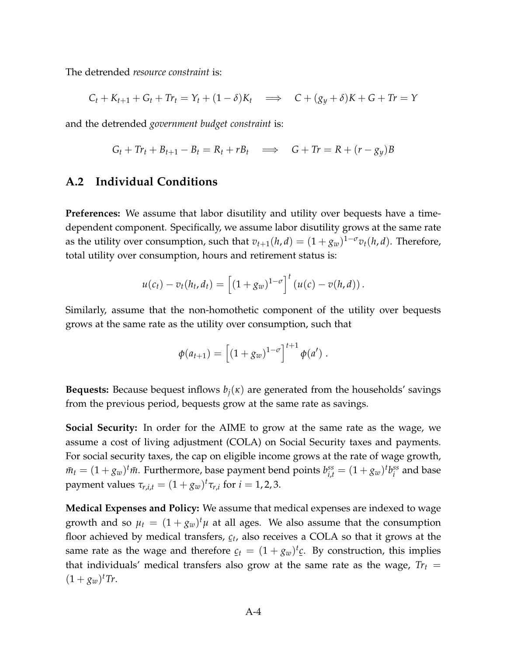The detrended *resource constraint* is:

$$
C_t + K_{t+1} + G_t + Tr_t = Y_t + (1 - \delta)K_t \implies C + (g_y + \delta)K + G + Tr = Y
$$

and the detrended *government budget constraint* is:

$$
G_t + Tr_t + B_{t+1} - B_t = R_t + rB_t \implies G + Tr = R + (r - g_y)B
$$

#### <span id="page-3-0"></span>**A.2 Individual Conditions**

**Preferences:** We assume that labor disutility and utility over bequests have a timedependent component. Specifically, we assume labor disutility grows at the same rate as the utility over consumption, such that  $v_{t+1}(h,d) = (1 + g_w)^{1-\sigma} v_t(h,d)$ . Therefore, total utility over consumption, hours and retirement status is:

$$
u(c_t)-v_t(h_t,d_t)=\left[(1+g_w)^{1-\sigma}\right]^t(u(c)-v(h,d)).
$$

Similarly, assume that the non-homothetic component of the utility over bequests grows at the same rate as the utility over consumption, such that

$$
\phi(a_{t+1}) = \left[ (1 + g_w)^{1-\sigma} \right]^{t+1} \phi(a') .
$$

**Bequests:** Because bequest inflows *bj*(*κ*) are generated from the households' savings from the previous period, bequests grow at the same rate as savings.

**Social Security:** In order for the AIME to grow at the same rate as the wage, we assume a cost of living adjustment (COLA) on Social Security taxes and payments. For social security taxes, the cap on eligible income grows at the rate of wage growth,  $\bar{m}_t = (1 + g_w)^t \bar{m}$ . Furthermore, base payment bend points  $b_{i,t}^{ss} = (1 + g_w)^t b_i^{ss}$  $i$ <sup>ss</sup> and base payment values  $\tau_{r,i,t} = (1 + g_w)^t \tau_{r,i}$  for  $i = 1,2,3$ .

**Medical Expenses and Policy:** We assume that medical expenses are indexed to wage growth and so  $\mu_t = (1 + g_w)^t \mu$  at all ages. We also assume that the consumption floor achieved by medical transfers, *ct* , also receives a COLA so that it grows at the ¯ same rate as the wage and therefore  $c_t = (1 + g_w)^t c$ . By construction, this implies that individuals' medical transfers also grow at the same rate as the wage,  $Tr_t$  =  $(1 + g_w)^t$ *Tr*.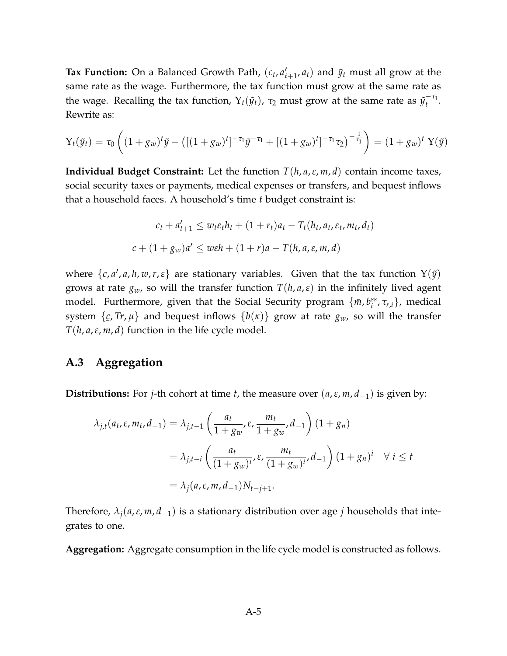**Tax Function:** On a Balanced Growth Path,  $(c_t, a_t)$  $(t_{t+1}, a_t)$  and  $\tilde{y}_t$  must all grow at the same rate as the wage. Furthermore, the tax function must grow at the same rate as the wage. Recalling the tax function,  $\Upsilon_t(\tilde{y}_t)$ ,  $\tau_2$  must grow at the same rate as  ${\tilde{y}_t}^{-\tau_1}$  $\frac{1}{t}$ Rewrite as:

$$
Y_t(\tilde{y}_t) = \tau_0 \left( (1 + g_w)^t \tilde{y} - \left( [(1 + g_w)^t]^{-\tau_1} \tilde{y}^{-\tau_1} + [(1 + g_w)^t]^{-\tau_1} \tau_2 \right)^{-\frac{1}{\tau_1}} \right) = (1 + g_w)^t Y(\tilde{y})
$$

**Individual Budget Constraint:** Let the function *T*(*h*, *a*,*ε*, *m*, *d*) contain income taxes, social security taxes or payments, medical expenses or transfers, and bequest inflows that a household faces. A household's time *t* budget constraint is:

$$
c_t + a'_{t+1} \le w_t \varepsilon_t h_t + (1 + r_t) a_t - T_t(h_t, a_t, \varepsilon_t, m_t, d_t)
$$
  

$$
c + (1 + g_w)a' \le w\varepsilon h + (1 + r)a - T(h, a, \varepsilon, m, d)
$$

where  $\{c, a', a, h, w, r, \varepsilon\}$  are stationary variables. Given that the tax function  $Y(\tilde{y})$ grows at rate  $g_w$ , so will the transfer function  $T(h, a, \varepsilon)$  in the infinitely lived agent model. Furthermore, given that the Social Security program  $\{\bar{m}, b_i^{ss}\}$ *i* , *τr*,*i*}, medical system { *c*, *Tr*, *µ*} and bequest inflows {*b*(*κ*)} grow at rate *gw*, so will the transfer  $T(h, a, \varepsilon, m, d)$  function in the life cycle model.

#### <span id="page-4-0"></span>**A.3 Aggregation**

**Distributions:** For *j*-th cohort at time *t*, the measure over (*a*,*ε*, *m*, *d*−1) is given by:

$$
\lambda_{j,t}(a_t, \varepsilon, m_t, d_{-1}) = \lambda_{j,t-1} \left( \frac{a_t}{1 + g_w}, \varepsilon, \frac{m_t}{1 + g_w}, d_{-1} \right) (1 + g_n)
$$
  
=  $\lambda_{j,t-i} \left( \frac{a_t}{(1 + g_w)^i}, \varepsilon, \frac{m_t}{(1 + g_w)^i}, d_{-1} \right) (1 + g_n)^i \quad \forall \ i \le t$   
=  $\lambda_j (a, \varepsilon, m, d_{-1}) N_{t-j+1}.$ 

Therefore,  $\lambda_i$ ( $a$ , $\varepsilon$ ,  $m$ ,  $d$ <sub>-1</sub>) is a stationary distribution over age *j* households that integrates to one.

**Aggregation:** Aggregate consumption in the life cycle model is constructed as follows.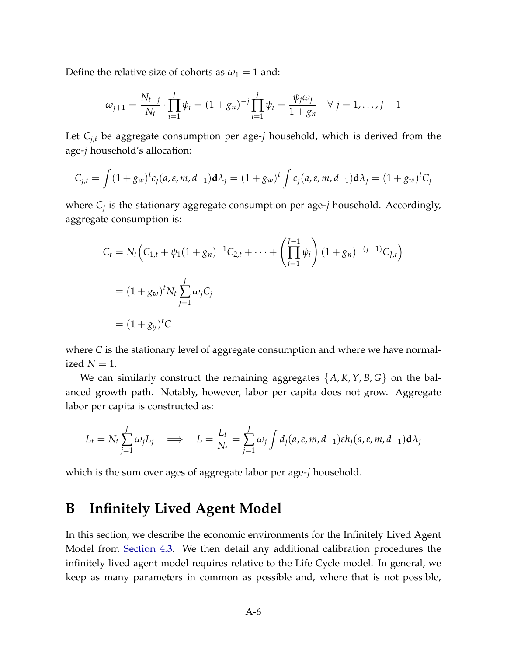Define the relative size of cohorts as  $\omega_1 = 1$  and:

$$
\omega_{j+1} = \frac{N_{t-j}}{N_t} \cdot \prod_{i=1}^j \psi_i = (1+g_n)^{-j} \prod_{i=1}^j \psi_i = \frac{\psi_j \omega_j}{1+g_n} \quad \forall \ j = 1, ..., J-1
$$

Let  $C_{j,t}$  be aggregate consumption per age-*j* household, which is derived from the age-*j* household's allocation:

$$
C_{j,t} = \int (1+g_w)^t c_j(a,\varepsilon,m,d_{-1}) d\lambda_j = (1+g_w)^t \int c_j(a,\varepsilon,m,d_{-1}) d\lambda_j = (1+g_w)^t C_j
$$

where *C<sup>j</sup>* is the stationary aggregate consumption per age-*j* household. Accordingly, aggregate consumption is:

$$
C_t = N_t \Big( C_{1,t} + \psi_1 (1 + g_n)^{-1} C_{2,t} + \dots + \left( \prod_{i=1}^{J-1} \psi_i \right) (1 + g_n)^{-(J-1)} C_{J,t} \Big)
$$
  
=  $(1 + g_w)^t N_t \sum_{j=1}^{J} \omega_j C_j$   
=  $(1 + g_y)^t C$ 

where *C* is the stationary level of aggregate consumption and where we have normalized  $N = 1$ .

We can similarly construct the remaining aggregates {*A*, *K*,*Y*, *B*, *G*} on the balanced growth path. Notably, however, labor per capita does not grow. Aggregate labor per capita is constructed as:

$$
L_t = N_t \sum_{j=1}^J \omega_j L_j \quad \Longrightarrow \quad L = \frac{L_t}{N_t} = \sum_{j=1}^J \omega_j \int d_j(a, \varepsilon, m, d_{-1}) \varepsilon h_j(a, \varepsilon, m, d_{-1}) \mathbf{d} \lambda_j
$$

which is the sum over ages of aggregate labor per age-*j* household.

## <span id="page-5-0"></span>**B Infinitely Lived Agent Model**

In this section, we describe the economic environments for the Infinitely Lived Agent Model from [Section 4.3.](#page-0-0) We then detail any additional calibration procedures the infinitely lived agent model requires relative to the Life Cycle model. In general, we keep as many parameters in common as possible and, where that is not possible,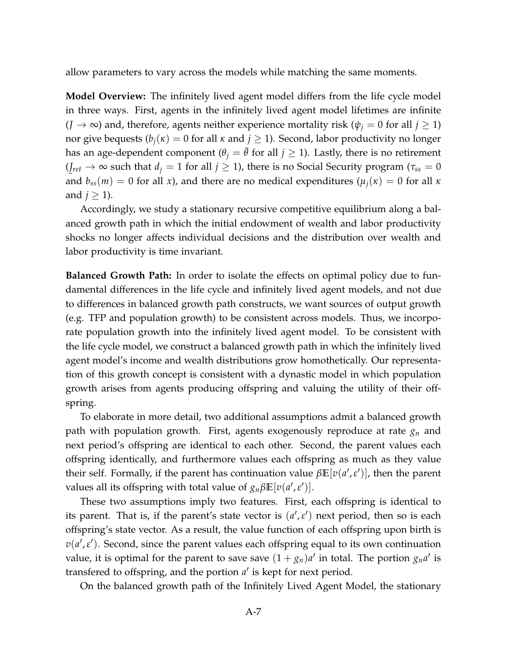allow parameters to vary across the models while matching the same moments.

**Model Overview:** The infinitely lived agent model differs from the life cycle model in three ways. First, agents in the infinitely lived agent model lifetimes are infinite  $(J \to \infty)$  and, therefore, agents neither experience mortality risk  $(\psi_j = 0$  for all  $j \ge 1$ ) nor give bequests  $(b_i(\kappa) = 0$  for all  $\kappa$  and  $j \ge 1$ ). Second, labor productivity no longer has an age-dependent component ( $\theta$ <sup>*j*</sup> =  $\theta$  for all *j*  $\geq$  1). Lastly, there is no retirement  $(J_{ret} \rightarrow \infty$  such that  $d_j = 1$  for all  $j \ge 1$ ), there is no Social Security program ( $\tau_{ss} = 0$ and  $b_{ss}(m) = 0$  for all *x*), and there are no medical expenditures  $(\mu_j(\kappa) = 0$  for all  $\kappa$ and  $j \geq 1$ ).

Accordingly, we study a stationary recursive competitive equilibrium along a balanced growth path in which the initial endowment of wealth and labor productivity shocks no longer affects individual decisions and the distribution over wealth and labor productivity is time invariant.

**Balanced Growth Path:** In order to isolate the effects on optimal policy due to fundamental differences in the life cycle and infinitely lived agent models, and not due to differences in balanced growth path constructs, we want sources of output growth (e.g. TFP and population growth) to be consistent across models. Thus, we incorporate population growth into the infinitely lived agent model. To be consistent with the life cycle model, we construct a balanced growth path in which the infinitely lived agent model's income and wealth distributions grow homothetically. Our representation of this growth concept is consistent with a dynastic model in which population growth arises from agents producing offspring and valuing the utility of their offspring.

To elaborate in more detail, two additional assumptions admit a balanced growth path with population growth. First, agents exogenously reproduce at rate *g<sup>n</sup>* and next period's offspring are identical to each other. Second, the parent values each offspring identically, and furthermore values each offspring as much as they value their self. Formally, if the parent has continuation value  $\beta \mathbb{E}[v(a', \varepsilon')]$ , then the parent values all its offspring with total value of  $g_n\beta\mathbb{E}[v(a',\varepsilon')]$ .

These two assumptions imply two features. First, each offspring is identical to its parent. That is, if the parent's state vector is  $(a', \varepsilon')$  next period, then so is each offspring's state vector. As a result, the value function of each offspring upon birth is  $v(a', \varepsilon')$ . Second, since the parent values each offspring equal to its own continuation value, it is optimal for the parent to save save  $(1 + g_n)a'$  in total. The portion  $g_n a'$  is transfered to offspring, and the portion  $a'$  is kept for next period.

On the balanced growth path of the Infinitely Lived Agent Model, the stationary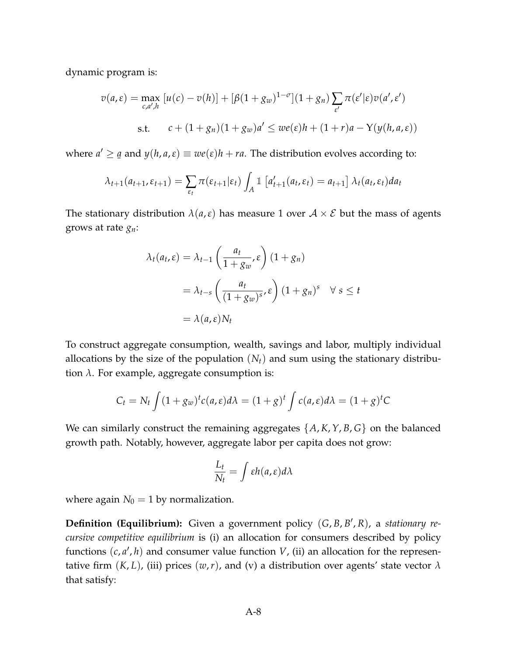dynamic program is:

$$
v(a,\varepsilon) = \max_{c,a',h} [u(c) - v(h)] + [\beta(1+g_w)^{1-\sigma}](1+g_n) \sum_{\varepsilon'} \pi(\varepsilon'|\varepsilon) v(a',\varepsilon')
$$
  
s.t. 
$$
c + (1+g_n)(1+g_w)a' \leq w\varepsilon(\varepsilon)h + (1+r)a - Y(y(h,a,\varepsilon))
$$

where  $a' \geq$  $\underline{a}$  and  $y(h, a, \varepsilon) \equiv w e(\varepsilon) h + ra$ . The distribution evolves according to:

$$
\lambda_{t+1}(a_{t+1}, \varepsilon_{t+1}) = \sum_{\varepsilon_t} \pi(\varepsilon_{t+1}|\varepsilon_t) \int_A \mathbb{1}\left[a'_{t+1}(a_t, \varepsilon_t) = a_{t+1}\right] \lambda_t(a_t, \varepsilon_t) da_t
$$

The stationary distribution  $\lambda(a,\varepsilon)$  has measure 1 over  $A \times \mathcal{E}$  but the mass of agents grows at rate *gn*:

$$
\lambda_t(a_t, \varepsilon) = \lambda_{t-1} \left( \frac{a_t}{1 + g_w}, \varepsilon \right) (1 + g_n)
$$
  
= 
$$
\lambda_{t-s} \left( \frac{a_t}{(1 + g_w)^s}, \varepsilon \right) (1 + g_n)^s \quad \forall s \le t
$$
  
= 
$$
\lambda(a, \varepsilon) N_t
$$

To construct aggregate consumption, wealth, savings and labor, multiply individual allocations by the size of the population (*Nt*) and sum using the stationary distribution *λ*. For example, aggregate consumption is:

$$
C_t = N_t \int (1 + g_w)^t c(a, \varepsilon) d\lambda = (1 + g)^t \int c(a, \varepsilon) d\lambda = (1 + g)^t C
$$

We can similarly construct the remaining aggregates {*A*, *K*,*Y*, *B*, *G*} on the balanced growth path. Notably, however, aggregate labor per capita does not grow:

$$
\frac{L_t}{N_t} = \int \varepsilon h(a, \varepsilon) d\lambda
$$

where again  $N_0 = 1$  by normalization.

**Definition (Equilibrium):** Given a government policy (G, B, B', R), a *stationary recursive competitive equilibrium* is (i) an allocation for consumers described by policy functions  $(c, a', h)$  and consumer value function  $V$ , (ii) an allocation for the representative firm  $(K, L)$ , (iii) prices  $(w, r)$ , and  $(v)$  a distribution over agents' state vector  $\lambda$ that satisfy: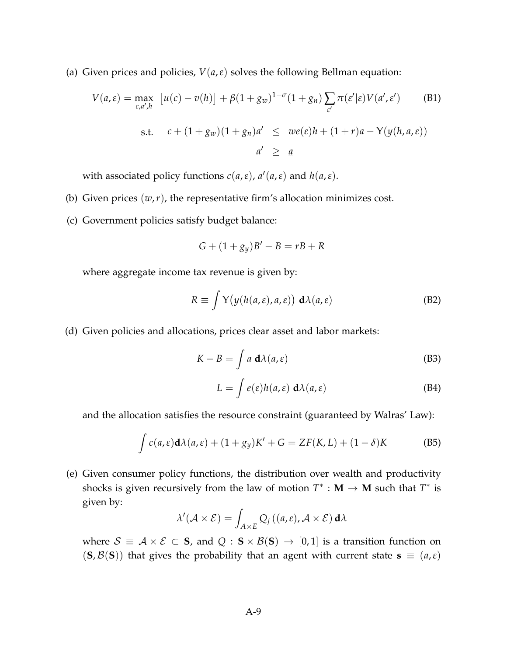(a) Given prices and policies,  $V(a, \varepsilon)$  solves the following Bellman equation:

$$
V(a,\varepsilon) = \max_{c,a',h} [u(c) - v(h)] + \beta(1 + g_w)^{1-\sigma}(1 + g_n) \sum_{\varepsilon'} \pi(\varepsilon'|\varepsilon) V(a',\varepsilon')
$$
(B1)  
s.t.  $c + (1 + g_w)(1 + g_n)a' \leq w\varepsilon(\varepsilon)h + (1 + r)a - Y(y(h,a,\varepsilon))$   
 $a' \geq \underline{a}$ 

with associated policy functions  $c(a, \varepsilon)$ ,  $a'(a, \varepsilon)$  and  $h(a, \varepsilon)$ .

- (b) Given prices  $(w, r)$ , the representative firm's allocation minimizes cost.
- (c) Government policies satisfy budget balance:

$$
G + (1 + g_y)B' - B = rB + R
$$

where aggregate income tax revenue is given by:

$$
R \equiv \int Y(y(h(a,\varepsilon),a,\varepsilon)) \, d\lambda(a,\varepsilon) \tag{B2}
$$

(d) Given policies and allocations, prices clear asset and labor markets:

$$
K - B = \int a \, \mathbf{d}\lambda(a, \varepsilon) \tag{B3}
$$

$$
L = \int e(\varepsilon)h(a,\varepsilon) \, d\lambda(a,\varepsilon) \tag{B4}
$$

and the allocation satisfies the resource constraint (guaranteed by Walras' Law):

$$
\int c(a,\varepsilon)\mathbf{d}\lambda(a,\varepsilon) + (1+g_y)K' + G = ZF(K,L) + (1-\delta)K
$$
 (B5)

(e) Given consumer policy functions, the distribution over wealth and productivity shocks is given recursively from the law of motion  $T^*$  :  $M \to M$  such that  $T^*$  is given by:

$$
\lambda'(\mathcal{A}\times\mathcal{E})=\int_{A\times E}Q_j((a,\varepsilon),\mathcal{A}\times\mathcal{E})\,\mathrm{d}\lambda
$$

where  $S \equiv A \times E \subset S$ , and  $Q : S \times B(S) \rightarrow [0,1]$  is a transition function on  $({\bf S}, {\cal B}({\bf S}))$  that gives the probability that an agent with current state  ${\bf s} \equiv (a, \varepsilon)$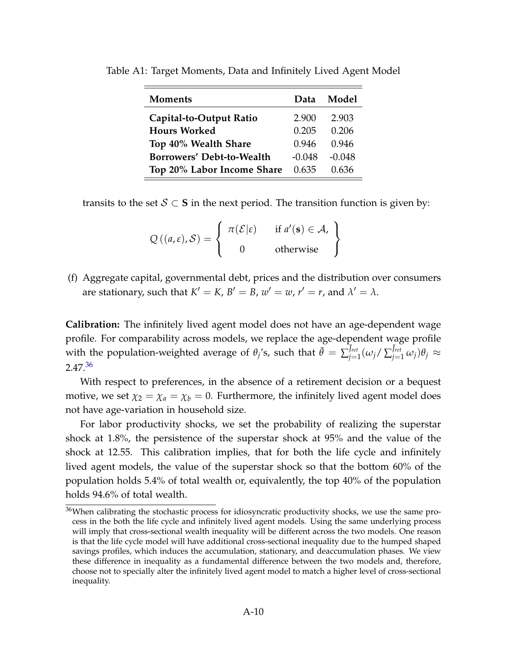| Moments                    | Data     | Model    |
|----------------------------|----------|----------|
| Capital-to-Output Ratio    | 2.900    | 2.903    |
| <b>Hours Worked</b>        | 0.205    | 0.206    |
| Top 40% Wealth Share       | 0.946    | 0.946    |
| Borrowers' Debt-to-Wealth  | $-0.048$ | $-0.048$ |
| Top 20% Labor Income Share | 0.635    | 0.636    |

<span id="page-9-0"></span>Table A1: Target Moments, Data and Infinitely Lived Agent Model

transits to the set  $S \subset S$  in the next period. The transition function is given by:

$$
Q((a,\varepsilon),\mathcal{S}) = \left\{ \begin{array}{cl} \pi(\mathcal{E}|\varepsilon) & \text{if } a'(\mathbf{s}) \in \mathcal{A}, \\ 0 & \text{otherwise} \end{array} \right\}
$$

(f) Aggregate capital, governmental debt, prices and the distribution over consumers are stationary, such that  $K' = K$ ,  $B' = B$ ,  $w' = w$ ,  $r' = r$ , and  $\lambda' = \lambda$ .

**Calibration:** The infinitely lived agent model does not have an age-dependent wage profile. For comparability across models, we replace the age-dependent wage profile with the population-weighted average of  $\theta_j$ 's, such that  $\bar{\theta} = \sum_{j=1}^{\bar{J}_{ret}}$  $\bar{J}^{\rm ret}_{j=1}(\omega_j/\sum_{j=1}^{\bar J_{\rm ret}}\omega_j)\theta_j \approx$ 2.47.[36](#page-0-0)

With respect to preferences, in the absence of a retirement decision or a bequest motive, we set  $\chi_2 = \chi_a = \chi_b = 0$ . Furthermore, the infinitely lived agent model does not have age-variation in household size.

For labor productivity shocks, we set the probability of realizing the superstar shock at 1.8%, the persistence of the superstar shock at 95% and the value of the shock at 12.55. This calibration implies, that for both the life cycle and infinitely lived agent models, the value of the superstar shock so that the bottom 60% of the population holds 5.4% of total wealth or, equivalently, the top 40% of the population holds 94.6% of total wealth.

<sup>&</sup>lt;sup>36</sup>When calibrating the stochastic process for idiosyncratic productivity shocks, we use the same process in the both the life cycle and infinitely lived agent models. Using the same underlying process will imply that cross-sectional wealth inequality will be different across the two models. One reason is that the life cycle model will have additional cross-sectional inequality due to the humped shaped savings profiles, which induces the accumulation, stationary, and deaccumulation phases. We view these difference in inequality as a fundamental difference between the two models and, therefore, choose not to specially alter the infinitely lived agent model to match a higher level of cross-sectional inequality.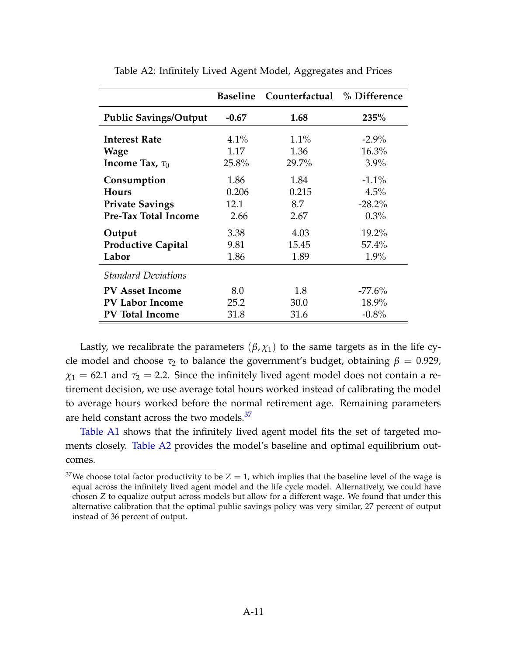<span id="page-10-0"></span>

|                              | <b>Baseline</b> | Counterfactual % Difference |           |
|------------------------------|-----------------|-----------------------------|-----------|
| <b>Public Savings/Output</b> | $-0.67$         | 1.68                        | 235%      |
| <b>Interest Rate</b>         | 4.1%            | 1.1%                        | $-2.9\%$  |
| Wage                         | 1.17            | 1.36                        | 16.3%     |
| Income Tax, $\tau_0$         | 25.8%           | 29.7%                       | 3.9%      |
| Consumption                  | 1.86            | 1.84                        | $-1.1\%$  |
| <b>Hours</b>                 | 0.206           | 0.215                       | 4.5%      |
| <b>Private Savings</b>       | 12.1            | 8.7                         | $-28.2%$  |
| Pre-Tax Total Income         | 2.66            | 2.67                        | $0.3\%$   |
| Output                       | 3.38            | 4.03                        | 19.2%     |
| <b>Productive Capital</b>    | 9.81            | 15.45                       | $57.4\%$  |
| Labor                        | 1.86            | 1.89                        | 1.9%      |
| <b>Standard Deviations</b>   |                 |                             |           |
| <b>PV Asset Income</b>       | 8.0             | 1.8                         | $-77.6\%$ |
| <b>PV Labor Income</b>       | 25.2            | 30.0                        | 18.9%     |
| <b>PV Total Income</b>       | 31.8            | 31.6                        | $-0.8\%$  |

Table A2: Infinitely Lived Agent Model, Aggregates and Prices

Lastly, we recalibrate the parameters  $(\beta, \chi_1)$  to the same targets as in the life cycle model and choose  $\tau_2$  to balance the government's budget, obtaining  $\beta = 0.929$ ,  $\chi_1$  = 62.1 and  $\tau_2$  = 2.2. Since the infinitely lived agent model does not contain a retirement decision, we use average total hours worked instead of calibrating the model to average hours worked before the normal retirement age. Remaining parameters are held constant across the two models.<sup>[37](#page-0-0)</sup>

[Table A1](#page-9-0) shows that the infinitely lived agent model fits the set of targeted moments closely. [Table A2](#page-10-0) provides the model's baseline and optimal equilibrium outcomes.

<sup>&</sup>lt;sup>37</sup>We choose total factor productivity to be  $Z = 1$ , which implies that the baseline level of the wage is equal across the infinitely lived agent model and the life cycle model. Alternatively, we could have chosen *Z* to equalize output across models but allow for a different wage. We found that under this alternative calibration that the optimal public savings policy was very similar, 27 percent of output instead of 36 percent of output.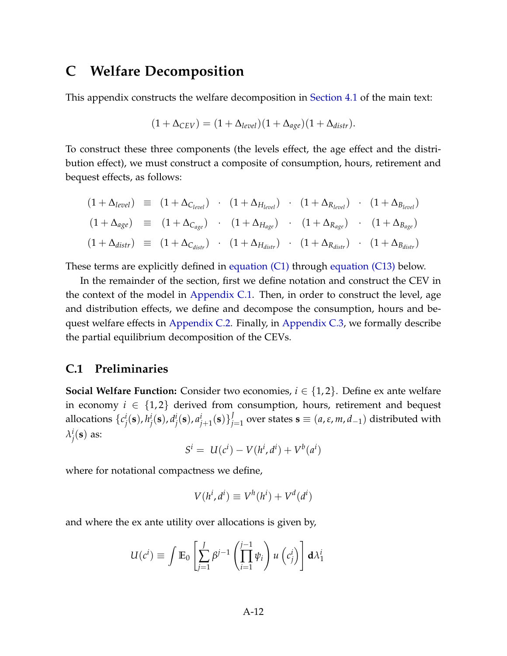## <span id="page-11-0"></span>**C Welfare Decomposition**

This appendix constructs the welfare decomposition in [Section 4.1](#page-0-0) of the main text:

$$
(1 + \Delta_{CEV}) = (1 + \Delta_{level})(1 + \Delta_{age})(1 + \Delta_{distr}).
$$

To construct these three components (the levels effect, the age effect and the distribution effect), we must construct a composite of consumption, hours, retirement and bequest effects, as follows:

$$
(1 + \Delta_{level}) \equiv (1 + \Delta_{C_{level}}) \cdot (1 + \Delta_{H_{level}}) \cdot (1 + \Delta_{R_{level}}) \cdot (1 + \Delta_{B_{level}})
$$
  
\n
$$
(1 + \Delta_{age}) \equiv (1 + \Delta_{C_{age}}) \cdot (1 + \Delta_{H_{age}}) \cdot (1 + \Delta_{R_{age}}) \cdot (1 + \Delta_{B_{age}})
$$
  
\n
$$
(1 + \Delta_{distr}) \equiv (1 + \Delta_{C_{distr}}) \cdot (1 + \Delta_{H_{distr}}) \cdot (1 + \Delta_{R_{distr}}) \cdot (1 + \Delta_{B_{distr}})
$$

These terms are explicitly defined in [equation \(C1\)](#page-13-1) through [equation \(C13\)](#page-20-1) below.

In the remainder of the section, first we define notation and construct the CEV in the context of the model in [Appendix C.1.](#page-11-1) Then, in order to construct the level, age and distribution effects, we define and decompose the consumption, hours and bequest welfare effects in [Appendix C.2.](#page-13-0) Finally, in [Appendix C.3,](#page-20-0) we formally describe the partial equilibrium decomposition of the CEVs.

#### <span id="page-11-1"></span>**C.1 Preliminaries**

**Social Welfare Function:** Consider two economies,  $i \in \{1,2\}$ . Define ex ante welfare in economy  $i \in \{1,2\}$  derived from consumption, hours, retirement and bequest allocations {*c i*  $j^i_j(\mathbf{s})$ ,  $h^i_j$ *j* (**s**), *d i*  $a^i_j(\mathbf{s})$ ,  $a^i_{j+1}(\mathbf{s})\}^J_j$ *j*=1 over states **s** ≡ (*a*,*ε*, *m*, *d*−1) distributed with *λ i*  $j^i_j(\mathbf{s})$  as:

$$
S^i = U(c^i) - V(h^i, d^i) + V^b(a^i)
$$

where for notational compactness we define,

$$
V(h^i, d^i) \equiv V^h(h^i) + V^d(d^i)
$$

and where the ex ante utility over allocations is given by,

$$
U(c^i) \equiv \int \mathbb{E}_0 \left[ \sum_{j=1}^J \beta^{j-1} \left( \prod_{i=1}^{j-1} \psi_i \right) u\left(c^i_j\right) \right] d\lambda_1^i
$$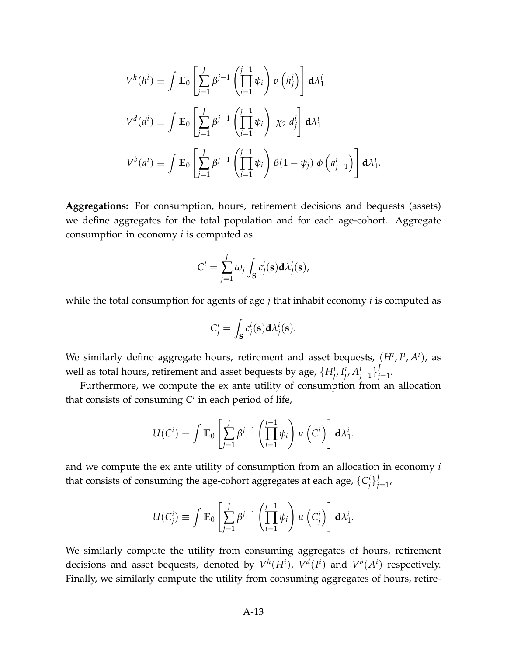$$
V^{h}(h^{i}) \equiv \int \mathbb{E}_{0} \left[ \sum_{j=1}^{J} \beta^{j-1} \left( \prod_{i=1}^{j-1} \psi_{i} \right) v \left( h_{j}^{i} \right) \right] d\lambda_{1}^{i}
$$
  

$$
V^{d}(d^{i}) \equiv \int \mathbb{E}_{0} \left[ \sum_{j=1}^{J} \beta^{j-1} \left( \prod_{i=1}^{j-1} \psi_{i} \right) \chi_{2} d_{j}^{i} \right] d\lambda_{1}^{i}
$$
  

$$
V^{b}(a^{i}) \equiv \int \mathbb{E}_{0} \left[ \sum_{j=1}^{J} \beta^{j-1} \left( \prod_{i=1}^{j-1} \psi_{i} \right) \beta(1 - \psi_{j}) \phi \left( a_{j+1}^{i} \right) \right] d\lambda_{1}^{i}.
$$

**Aggregations:** For consumption, hours, retirement decisions and bequests (assets) we define aggregates for the total population and for each age-cohort. Aggregate consumption in economy *i* is computed as

$$
C^i = \sum_{j=1}^J \omega_j \int_{\mathbf{S}} c_j^i(\mathbf{s}) \mathbf{d} \lambda_j^i(\mathbf{s}),
$$

while the total consumption for agents of age *j* that inhabit economy *i* is computed as

$$
C_j^i = \int_{\mathbf{S}} c_j^i(\mathbf{s}) \mathbf{d} \lambda_j^i(\mathbf{s}).
$$

We similarly define aggregate hours, retirement and asset bequests,  $(H^i, I^i, A^i)$ , as well as total hours, retirement and asset bequests by age,  $\{H^i_{j^\prime}\}_{j^\prime}^I$  $^{i}_{j}$ ,  $A^{i}_{j+1}$  }<sup>*J*</sup><sub>*j*</sub> *j*=1 .

Furthermore, we compute the ex ante utility of consumption from an allocation that consists of consuming *C i* in each period of life,

$$
U(C^i) \equiv \int \mathbb{E}_0 \left[ \sum_{j=1}^J \beta^{j-1} \left( \prod_{i=1}^{j-1} \psi_i \right) u\left(C^i\right) \right] d\lambda_1^i.
$$

and we compute the ex ante utility of consumption from an allocation in economy *i* that consists of consuming the age-cohort aggregates at each age, {*C i j* } *J j*=1 ,

$$
U(C_j^i) \equiv \int \mathbb{E}_0 \left[ \sum_{j=1}^J \beta^{j-1} \left( \prod_{i=1}^{j-1} \psi_i \right) u\left(C_j^i\right) \right] d\lambda_1^i.
$$

We similarly compute the utility from consuming aggregates of hours, retirement decisions and asset bequests, denoted by  $V^h(H^i)$ ,  $V^d(I^i)$  and  $V^b(A^i)$  respectively. Finally, we similarly compute the utility from consuming aggregates of hours, retire-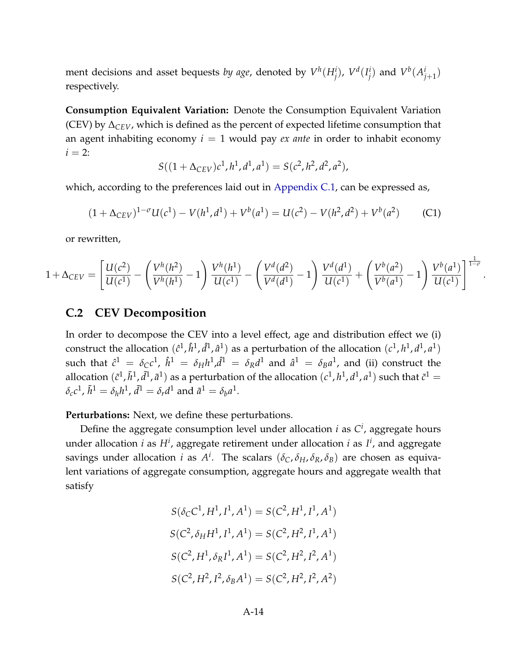ment decisions and asset bequests *by age,* denoted by  $V^h(H^i_j)$ ,  $V^d(I^i_j)$  $\binom{i}{j}$  and  $V^b(A^i_{j+1})$ respectively.

**Consumption Equivalent Variation:** Denote the Consumption Equivalent Variation (CEV) by ∆*CEV*, which is defined as the percent of expected lifetime consumption that an agent inhabiting economy  $i = 1$  would pay *ex ante* in order to inhabit economy  $i = 2$ :

$$
S((1+\Delta_{CEV})c^1, h^1, d^1, a^1) = S(c^2, h^2, d^2, a^2),
$$

which, according to the preferences laid out in [Appendix C.1,](#page-11-1) can be expressed as,

<span id="page-13-1"></span>
$$
(1 + \Delta_{CEV})^{1-\sigma}U(c^1) - V(h^1, d^1) + V^b(a^1) = U(c^2) - V(h^2, d^2) + V^b(a^2)
$$
 (C1)

or rewritten,

$$
1 + \Delta_{CEV} = \left[ \frac{U(c^2)}{U(c^1)} - \left( \frac{V^h(h^2)}{V^h(h^1)} - 1 \right) \frac{V^h(h^1)}{U(c^1)} - \left( \frac{V^d(d^2)}{V^d(d^1)} - 1 \right) \frac{V^d(d^1)}{U(c^1)} + \left( \frac{V^b(a^2)}{V^b(a^1)} - 1 \right) \frac{V^b(a^1)}{U(c^1)} \right]^{\frac{1}{1-\sigma}}
$$

.

#### <span id="page-13-0"></span>**C.2 CEV Decomposition**

In order to decompose the CEV into a level effect, age and distribution effect we (i) construct the allocation  $(\hat{c}^1, \hat{h}^1, \hat{d}^1, \hat{a}^1)$  as a perturbation of the allocation  $(c^1, h^1, d^1, a^1)$ such that  $\hat{c}^1 = \delta_C c^1$ ,  $\hat{h}^1 = \delta_H h^1$ , $\hat{d}^1 = \delta_R d^1$  and  $\hat{a}^1 = \delta_B a^1$ , and (ii) construct the allocation  $(\tilde{c}^1, \tilde{h}^1, \tilde{d}^1, \tilde{a}^1)$  as a perturbation of the allocation  $(c^1, h^1, d^1, a^1)$  such that  $\tilde{c}^1 =$  $\delta_c c^1$ ,  $\tilde{h}^1 = \delta_h h^1$ ,  $\tilde{d}^1 = \delta_r d^1$  and  $\tilde{a}^1 = \delta_b a^1$ .

**Perturbations:** Next, we define these perturbations.

Define the aggregate consumption level under allocation *i* as *C i* , aggregate hours under allocation *i* as H<sup>i</sup>, aggregate retirement under allocation *i* as I<sup>i</sup>, and aggregate savings under allocation *i* as  $A^i$ . The scalars  $(\delta_C, \delta_H, \delta_R, \delta_B)$  are chosen as equivalent variations of aggregate consumption, aggregate hours and aggregate wealth that satisfy

$$
S(\delta_{\rm C} C^1, H^1, I^1, A^1) = S(C^2, H^1, I^1, A^1)
$$
  
\n
$$
S(C^2, \delta_H H^1, I^1, A^1) = S(C^2, H^2, I^1, A^1)
$$
  
\n
$$
S(C^2, H^1, \delta_R I^1, A^1) = S(C^2, H^2, I^2, A^1)
$$
  
\n
$$
S(C^2, H^2, I^2, \delta_B A^1) = S(C^2, H^2, I^2, A^2)
$$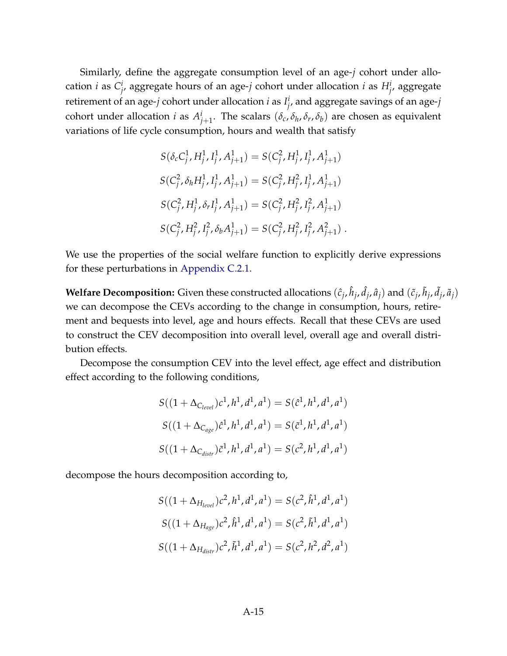Similarly, define the aggregate consumption level of an age-*j* cohort under allocation *i* as *C i*  $\frac{i}{j'}$ , aggregate hours of an age-*j* cohort under allocation *i* as  $H^i_j$ , aggregate retirement of an age-*j* cohort under allocation *i* as *I i j* , and aggregate savings of an age-*j* cohort under allocation *i* as  $A^i_{j+1}$ . The scalars  $(\delta_c, \delta_h, \delta_r, \delta_b)$  are chosen as equivalent variations of life cycle consumption, hours and wealth that satisfy

$$
S(\delta_c C_j^1, H_j^1, I_j^1, A_{j+1}^1) = S(C_j^2, H_j^1, I_j^1, A_{j+1}^1)
$$
  
\n
$$
S(C_j^2, \delta_h H_j^1, I_j^1, A_{j+1}^1) = S(C_j^2, H_j^2, I_j^1, A_{j+1}^1)
$$
  
\n
$$
S(C_j^2, H_j^1, \delta_r I_j^1, A_{j+1}^1) = S(C_j^2, H_j^2, I_j^2, A_{j+1}^1)
$$
  
\n
$$
S(C_j^2, H_j^2, I_j^2, \delta_b A_{j+1}^1) = S(C_j^2, H_j^2, I_j^2, A_{j+1}^2)
$$

We use the properties of the social welfare function to explicitly derive expressions for these perturbations in [Appendix C.2.1.](#page-15-0)

**Welfare Decomposition:** Given these constructed allocations  $(\hat{c}_j, \hat{h}_j, \hat{d}_j, \hat{a}_j)$  and  $(\tilde{c}_j, \tilde{h}_j, \tilde{d}_j, \tilde{a}_j)$ we can decompose the CEVs according to the change in consumption, hours, retirement and bequests into level, age and hours effects. Recall that these CEVs are used to construct the CEV decomposition into overall level, overall age and overall distribution effects.

Decompose the consumption CEV into the level effect, age effect and distribution effect according to the following conditions,

$$
S((1 + \Delta_{C_{level}})c^1, h^1, d^1, a^1) = S(\hat{c}^1, h^1, d^1, a^1)
$$
  

$$
S((1 + \Delta_{C_{age}})\hat{c}^1, h^1, d^1, a^1) = S(\tilde{c}^1, h^1, d^1, a^1)
$$
  

$$
S((1 + \Delta_{C_{dist}})\tilde{c}^1, h^1, d^1, a^1) = S(c^2, h^1, d^1, a^1)
$$

decompose the hours decomposition according to,

$$
S((1 + \Delta_{H_{level}})c^2, h^1, d^1, a^1) = S(c^2, \hat{h}^1, d^1, a^1)
$$
  

$$
S((1 + \Delta_{H_{age}})c^2, \hat{h}^1, d^1, a^1) = S(c^2, \tilde{h}^1, d^1, a^1)
$$
  

$$
S((1 + \Delta_{H_{distr}})c^2, \tilde{h}^1, d^1, a^1) = S(c^2, h^2, d^2, a^1)
$$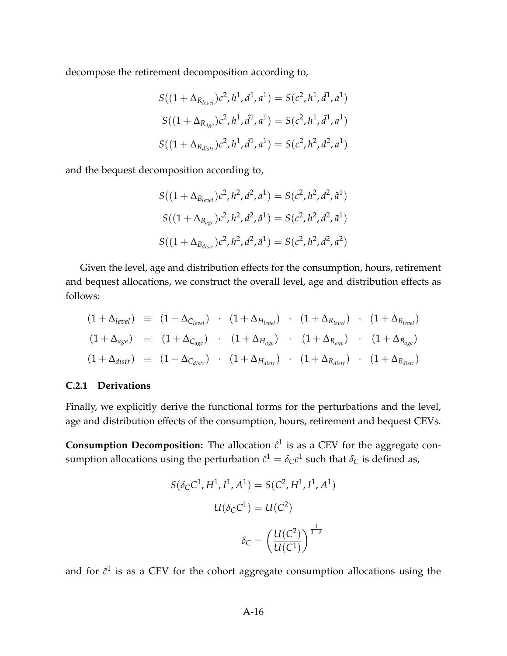decompose the retirement decomposition according to,

$$
S((1 + \Delta_{R_{level}})c^2, h^1, d^1, a^1) = S(c^2, h^1, \hat{d}^1, a^1)
$$
  

$$
S((1 + \Delta_{R_{age}})c^2, h^1, \hat{d}^1, a^1) = S(c^2, h^1, \tilde{d}^1, a^1)
$$
  

$$
S((1 + \Delta_{R_{distr}})c^2, h^1, \tilde{d}^1, a^1) = S(c^2, h^2, d^2, a^1)
$$

and the bequest decomposition according to,

$$
S((1 + \Delta_{B_{level}})c^2, h^2, d^2, a^1) = S(c^2, h^2, d^2, \hat{a}^1)
$$
  

$$
S((1 + \Delta_{B_{age}})c^2, h^2, d^2, \hat{a}^1) = S(c^2, h^2, d^2, \tilde{a}^1)
$$
  

$$
S((1 + \Delta_{B_{distr}})c^2, h^2, d^2, \tilde{a}^1) = S(c^2, h^2, d^2, a^2)
$$

Given the level, age and distribution effects for the consumption, hours, retirement and bequest allocations, we construct the overall level, age and distribution effects as follows:

$$
(1 + \Delta_{level}) \equiv (1 + \Delta_{C_{level}}) \cdot (1 + \Delta_{H_{level}}) \cdot (1 + \Delta_{R_{level}}) \cdot (1 + \Delta_{B_{level}})
$$
  
\n
$$
(1 + \Delta_{age}) \equiv (1 + \Delta_{C_{age}}) \cdot (1 + \Delta_{H_{age}}) \cdot (1 + \Delta_{R_{age}}) \cdot (1 + \Delta_{B_{age}})
$$
  
\n
$$
(1 + \Delta_{distr}) \equiv (1 + \Delta_{C_{distr}}) \cdot (1 + \Delta_{H_{distr}}) \cdot (1 + \Delta_{R_{distr}}) \cdot (1 + \Delta_{B_{distr}})
$$

#### <span id="page-15-0"></span>**C.2.1 Derivations**

Finally, we explicitly derive the functional forms for the perturbations and the level, age and distribution effects of the consumption, hours, retirement and bequest CEVs.

**Consumption Decomposition:** The allocation  $\hat{c}^1$  is as a CEV for the aggregate consumption allocations using the perturbation  $\hat{c}^1 = \delta_C c^1$  such that  $\delta_C$  is defined as,

$$
S(\delta_C C^1, H^1, I^1, A^1) = S(C^2, H^1, I^1, A^1)
$$

$$
U(\delta_C C^1) = U(C^2)
$$

$$
\delta_C = \left(\frac{U(C^2)}{U(C^1)}\right)^{\frac{1}{1-\sigma}}
$$

and for  $\tilde{c}^1$  is as a CEV for the cohort aggregate consumption allocations using the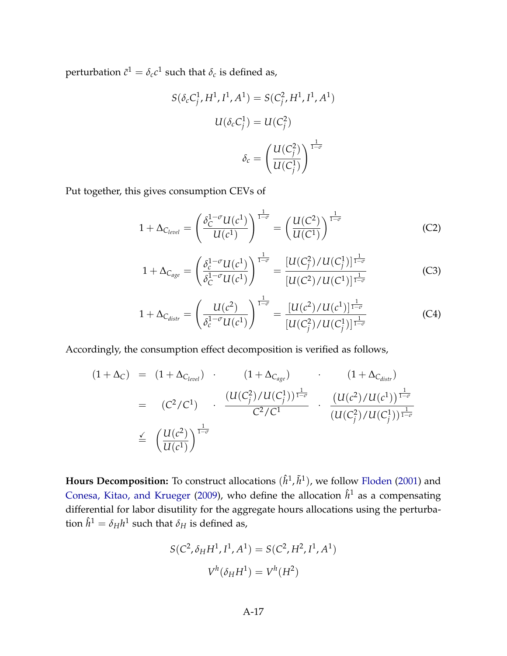perturbation  $\tilde{c}^1 = \delta_c c^1$  such that  $\delta_c$  is defined as,

$$
S(\delta_c C_j^1, H^1, I^1, A^1) = S(C_j^2, H^1, I^1, A^1)
$$

$$
U(\delta_c C_j^1) = U(C_j^2)
$$

$$
\delta_c = \left(\frac{U(C_j^2)}{U(C_j^1)}\right)^{\frac{1}{1-\sigma}}
$$

Put together, this gives consumption CEVs of

$$
1 + \Delta_{C_{level}} = \left(\frac{\delta_C^{1-\sigma} U(c^1)}{U(c^1)}\right)^{\frac{1}{1-\sigma}} = \left(\frac{U(C^2)}{U(C^1)}\right)^{\frac{1}{1-\sigma}}
$$
(C2)

$$
1 + \Delta_{C_{age}} = \left(\frac{\delta_c^{1-\sigma} U(c^1)}{\delta_c^{1-\sigma} U(c^1)}\right)^{\frac{1}{1-\sigma}} = \frac{\left[U(C_j^2)/U(C_j^1)\right]^{\frac{1}{1-\sigma}}}{\left[U(C^2)/U(C^1)\right]^{\frac{1}{1-\sigma}}} \tag{C3}
$$

$$
1 + \Delta_{C_{distr}} = \left(\frac{U(c^2)}{\delta_c^{1-\sigma}U(c^1)}\right)^{\frac{1}{1-\sigma}} = \frac{[U(c^2)/U(c^1)]^{\frac{1}{1-\sigma}}}{[U(C_j^2)/U(C_j^1)]^{\frac{1}{1-\sigma}}} \tag{C4}
$$

Accordingly, the consumption effect decomposition is verified as follows,

$$
(1 + \Delta_C) = (1 + \Delta_{C_{level}}) \cdot (1 + \Delta_{C_{age}}) \cdot (1 + \Delta_{C_{distr}})
$$
\n
$$
= (C^2/C^1) \cdot \frac{(U(C_j^2)/U(C_j^1))^{\frac{1}{1-\sigma}}}{C^2/C^1} \cdot \frac{(U(c^2)/U(c^1))^{\frac{1}{1-\sigma}}}{(U(C_j^2)/U(C_j^1))^{\frac{1}{1-\sigma}}}
$$
\n
$$
\leq (\frac{U(c^2)}{U(c^1)})^{\frac{1}{1-\sigma}}
$$

**Hours Decomposition:** To construct allocations  $(\hat{h}^1, \tilde{h}^1)$ , we follow [Floden](#page-0-0) [\(2001\)](#page-0-0) and [Conesa, Kitao, and Krueger](#page-0-0) [\(2009\)](#page-0-0), who define the allocation  $\hat{h}^1$  as a compensating differential for labor disutility for the aggregate hours allocations using the perturba- $\hat{h}^1 = \delta_H h^1$  such that  $\delta_H$  is defined as,

$$
S(C^2, \delta_H H^1, I^1, A^1) = S(C^2, H^2, I^1, A^1)
$$

$$
V^h(\delta_H H^1) = V^h(H^2)
$$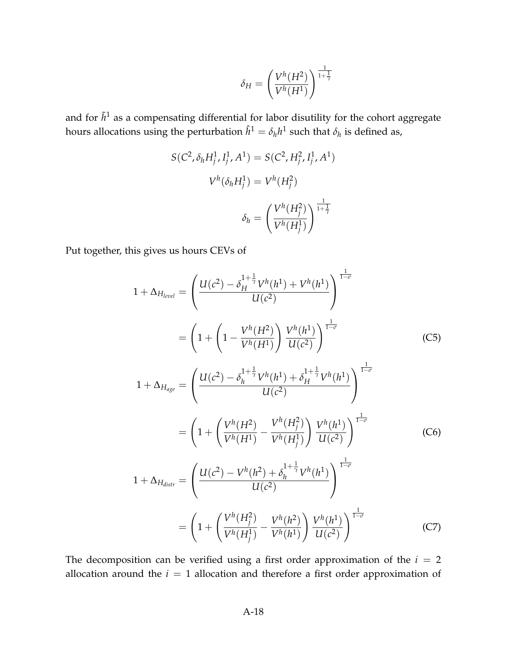$$
\delta_H = \left(\frac{V^h(H^2)}{V^h(H^1)}\right)^{\frac{1}{1+\frac{1}{\gamma}}}
$$

and for  $\tilde{h}^1$  as a compensating differential for labor disutility for the cohort aggregate hours allocations using the perturbation  $\hat{h}^1 = \delta_h h^1$  such that  $\delta_h$  is defined as,

$$
S(C^2, \delta_h H_j^1, I_j^1, A^1) = S(C^2, H_j^2, I_j^1, A^1)
$$

$$
V^h(\delta_h H_j^1) = V^h(H_j^2)
$$

$$
\delta_h = \left(\frac{V^h(H_j^2)}{V^h(H_j^1)}\right)^{\frac{1}{1+\frac{1}{\gamma}}}
$$

Put together, this gives us hours CEVs of

$$
1 + \Delta_{H_{level}} = \left(\frac{U(c^2) - \delta_H^{1 + \frac{1}{\gamma}} V^h(h^1) + V^h(h^1)}{U(c^2)}\right)^{\frac{1}{1-\sigma}}
$$
  
\n
$$
= \left(1 + \left(1 - \frac{V^h(H^2)}{V^h(H^1)}\right) \frac{V^h(h^1)}{U(c^2)}\right)^{\frac{1}{1-\sigma}}
$$
(C5)  
\n
$$
1 + \Delta_{H_{age}} = \left(\frac{U(c^2) - \delta_h^{1 + \frac{1}{\gamma}} V^h(h^1) + \delta_H^{1 + \frac{1}{\gamma}} V^h(h^1)}{U(c^2)}\right)^{\frac{1}{1-\sigma}}
$$
  
\n
$$
= \left(1 + \left(\frac{V^h(H^2)}{V^h(H^1)} - \frac{V^h(H^2)}{V^h(H^1)}\right) \frac{V^h(h^1)}{U(c^2)}\right)^{\frac{1}{1-\sigma}}
$$
(C6)  
\n
$$
1 + \Delta_{H_{distr}} = \left(\frac{U(c^2) - V^h(h^2) + \delta_h^{1 + \frac{1}{\gamma}} V^h(h^1)}{U(c^2)}\right)^{\frac{1}{1-\sigma}}
$$
  
\n
$$
= \left(1 + \left(\frac{V^h(H^2)}{V^h(H^1)} - \frac{V^h(h^2)}{V^h(h^1)}\right) \frac{V^h(h^1)}{U(c^2)}\right)^{\frac{1}{1-\sigma}}
$$
(C7)

The decomposition can be verified using a first order approximation of the  $i = 2$ allocation around the *i* = 1 allocation and therefore a first order approximation of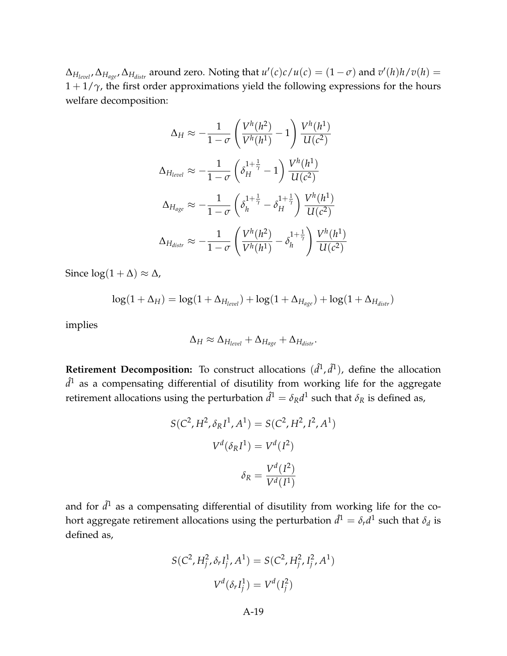$\Delta_{H_{level}}$ ,  $\Delta_{H_{edge}}$ ,  $\Delta_{H_{distr}}$  around zero. Noting that  $u'(c)c/u(c) = (1 - \sigma)$  and  $v'(h)h/v(h) =$  $1 + 1/\gamma$ , the first order approximations yield the following expressions for the hours welfare decomposition:

$$
\Delta_H \approx -\frac{1}{1-\sigma} \left( \frac{V^h(h^2)}{V^h(h^1)} - 1 \right) \frac{V^h(h^1)}{U(c^2)}
$$

$$
\Delta_{H_{level}} \approx -\frac{1}{1-\sigma} \left( \delta_H^{1+\frac{1}{\gamma}} - 1 \right) \frac{V^h(h^1)}{U(c^2)}
$$

$$
\Delta_{H_{age}} \approx -\frac{1}{1-\sigma} \left( \delta_h^{1+\frac{1}{\gamma}} - \delta_H^{1+\frac{1}{\gamma}} \right) \frac{V^h(h^1)}{U(c^2)}
$$

$$
\Delta_{H_{distr}} \approx -\frac{1}{1-\sigma} \left( \frac{V^h(h^2)}{V^h(h^1)} - \delta_h^{1+\frac{1}{\gamma}} \right) \frac{V^h(h^1)}{U(c^2)}
$$

Since  $log(1 + \Delta) \approx \Delta$ ,

$$
\log(1+\Delta_H) = \log(1+\Delta_{H_{level}}) + \log(1+\Delta_{H_{age}}) + \log(1+\Delta_{H_{distr}})
$$

implies

$$
\Delta_H \approx \Delta_{H_{level}} + \Delta_{H_{age}} + \Delta_{H_{distr}}.
$$

**Retirement Decomposition:** To construct allocations  $(\hat{d}^1, \tilde{d}^1)$ , define the allocation  $\hat{d}^1$  as a compensating differential of disutility from working life for the aggregate retirement allocations using the perturbation  $\hat{d}^1 = \delta_R d^1$  such that  $\delta_R$  is defined as,

$$
S(C^2, H^2, \delta_R I^1, A^1) = S(C^2, H^2, I^2, A^1)
$$

$$
V^d(\delta_R I^1) = V^d(I^2)
$$

$$
\delta_R = \frac{V^d(I^2)}{V^d(I^1)}
$$

and for  $\tilde{d}^1$  as a compensating differential of disutility from working life for the cohort aggregate retirement allocations using the perturbation  $\hat{d}^1 = \delta_r d^1$  such that  $\delta_d$  is defined as,

$$
S(C^2, H_j^2, \delta_r I_j^1, A^1) = S(C^2, H_j^2, I_j^2, A^1)
$$

$$
V^d(\delta_r I_j^1) = V^d(I_j^2)
$$

A-19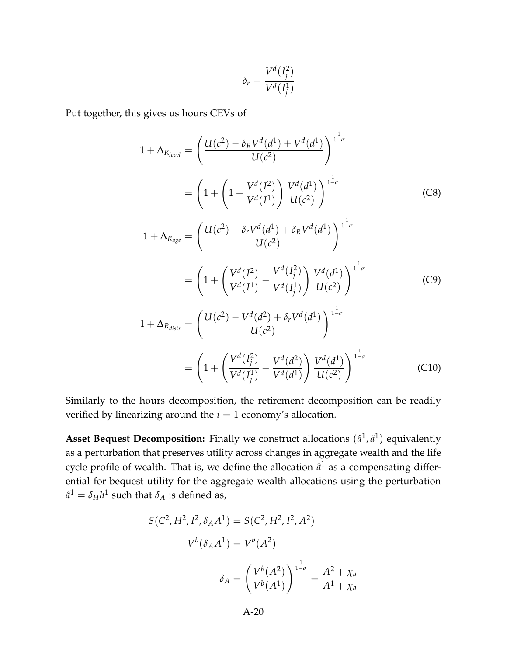$$
\delta_r = \frac{V^d(I_j^2)}{V^d(I_j^1)}
$$

Put together, this gives us hours CEVs of

$$
1 + \Delta_{R_{level}} = \left(\frac{U(c^2) - \delta_R V^d(d^1) + V^d(d^1)}{U(c^2)}\right)^{\frac{1}{1-\sigma}}
$$
  
\n
$$
= \left(1 + \left(1 - \frac{V^d(I^2)}{V^d(I^1)}\right) \frac{V^d(d^1)}{U(c^2)}\right)^{\frac{1}{1-\sigma}}
$$
(C8)  
\n
$$
1 + \Delta_{R_{age}} = \left(\frac{U(c^2) - \delta_r V^d(d^1) + \delta_R V^d(d^1)}{U(c^2)}\right)^{\frac{1}{1-\sigma}}
$$
  
\n
$$
= \left(1 + \left(\frac{V^d(I^2)}{V^d(I^1)} - \frac{V^d(I^2)}{V^d(I^1)}\right) \frac{V^d(d^1)}{U(c^2)}\right)^{\frac{1}{1-\sigma}}
$$
(C9)  
\n
$$
1 + \Delta_{R_{distr}} = \left(\frac{U(c^2) - V^d(d^2) + \delta_r V^d(d^1)}{U(c^2)}\right)^{\frac{1}{1-\sigma}}
$$
  
\n
$$
= \left(1 + \left(\frac{V^d(I^2)}{V^d(I^1)} - \frac{V^d(d^2)}{V^d(d^1)}\right) \frac{V^d(d^1)}{U(c^2)}\right)^{\frac{1}{1-\sigma}}
$$
(C10)

Similarly to the hours decomposition, the retirement decomposition can be readily verified by linearizing around the  $i = 1$  economy's allocation.

**Asset Bequest Decomposition:** Finally we construct allocations  $(\hat{a}^1, \tilde{a}^1)$  equivalently as a perturbation that preserves utility across changes in aggregate wealth and the life cycle profile of wealth. That is, we define the allocation  $\hat{a}^1$  as a compensating differential for bequest utility for the aggregate wealth allocations using the perturbation  $\hat{a}^1 = \delta_H h^1$  such that  $\delta_A$  is defined as,

$$
S(C^2, H^2, I^2, \delta_A A^1) = S(C^2, H^2, I^2, A^2)
$$

$$
V^b(\delta_A A^1) = V^b(A^2)
$$

$$
\delta_A = \left(\frac{V^b(A^2)}{V^b(A^1)}\right)^{\frac{1}{1-\sigma}} = \frac{A^2 + \chi_a}{A^1 + \chi_a}
$$

A-20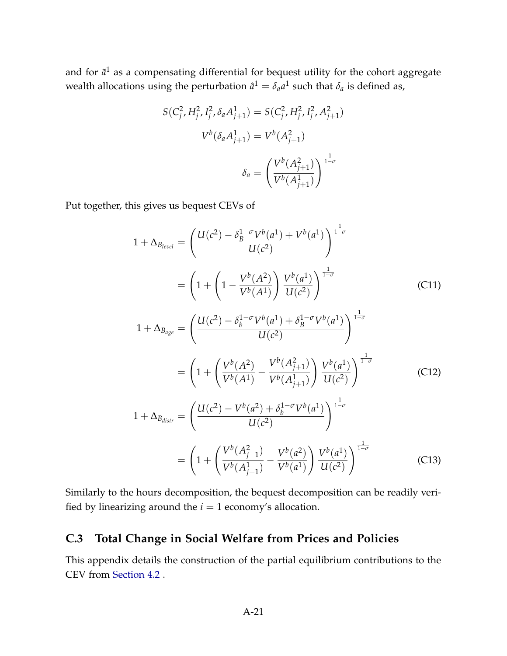and for  $\tilde{a}^1$  as a compensating differential for bequest utility for the cohort aggregate wealth allocations using the perturbation  $\hat{a}^1 = \delta_a a^1$  such that  $\delta_a$  is defined as,

$$
S(C_j^2, H_j^2, I_j^2, \delta_a A_{j+1}^1) = S(C_j^2, H_j^2, I_j^2, A_{j+1}^2)
$$

$$
V^b(\delta_a A_{j+1}^1) = V^b(A_{j+1}^2)
$$

$$
\delta_a = \left(\frac{V^b(A_{j+1}^2)}{V^b(A_{j+1}^1)}\right)^{\frac{1}{1-\sigma}}
$$

Put together, this gives us bequest CEVs of

$$
1 + \Delta_{B_{level}} = \left(\frac{U(c^2) - \delta_B^{1-\sigma} V^b(a^1) + V^b(a^1)}{U(c^2)}\right)^{\frac{1}{1-\sigma}}
$$
  
\n
$$
= \left(1 + \left(1 - \frac{V^b(A^2)}{V^b(A^1)}\right) \frac{V^b(a^1)}{U(c^2)}\right)^{\frac{1}{1-\sigma}}
$$
(C11)  
\n
$$
1 + \Delta_{B_{age}} = \left(\frac{U(c^2) - \delta_b^{1-\sigma} V^b(a^1) + \delta_B^{1-\sigma} V^b(a^1)}{U(c^2)}\right)^{\frac{1}{1-\sigma}}
$$
  
\n
$$
= \left(1 + \left(\frac{V^b(A^2)}{V^b(A^1)} - \frac{V^b(A_{j+1}^2)}{V^b(A_{j+1}^1)}\right) \frac{V^b(a^1)}{U(c^2)}\right)^{\frac{1}{1-\sigma}}
$$
(C12)  
\n
$$
1 + \Delta_{B_{dist}} = \left(\frac{U(c^2) - V^b(a^2) + \delta_b^{1-\sigma} V^b(a^1)}{U(c^2)}\right)^{\frac{1}{1-\sigma}}
$$
  
\n
$$
= \left(1 + \left(\frac{V^b(A_{j+1}^2)}{V^b(A_{j+1}^1)} - \frac{V^b(a^2)}{V^b(a^1)}\right) \frac{V^b(a^1)}{U(c^2)}\right)^{\frac{1}{1-\sigma}}
$$
(C13)

<span id="page-20-1"></span>Similarly to the hours decomposition, the bequest decomposition can be readily verified by linearizing around the  $i = 1$  economy's allocation.

### <span id="page-20-0"></span>**C.3 Total Change in Social Welfare from Prices and Policies**

This appendix details the construction of the partial equilibrium contributions to the CEV from [Section 4.2](#page-0-0) .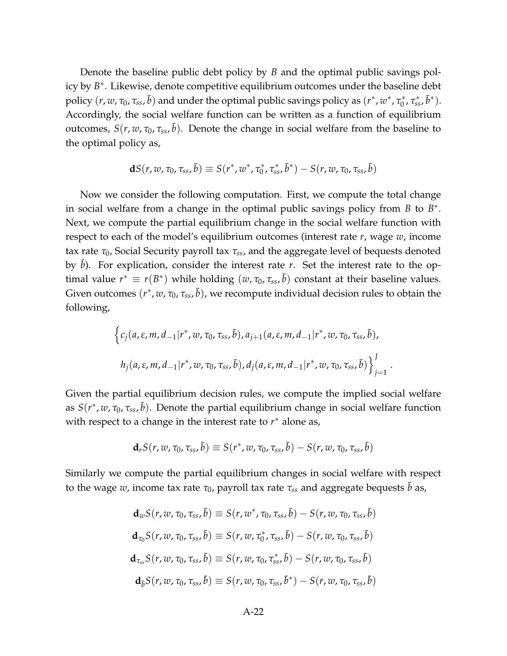Denote the baseline public debt policy by *B* and the optimal public savings policy by *B* ∗ . Likewise, denote competitive equilibrium outcomes under the baseline debt policy  $(r, w, \tau_0, \tau_{ss}, \bar{b})$  and under the optimal public savings policy as  $(r^*, w^*, \tau_0^*)$ <sup>\*</sup><sub>0</sub>, τ<sup>\*</sup><sub>ss</sub>, **b**<sup>\*</sup>). Accordingly, the social welfare function can be written as a function of equilibrium outcomes,  $S(r, w, \tau_0, \tau_{ss}, \bar{b})$ . Denote the change in social welfare from the baseline to the optimal policy as,

$$
\mathbf{d}S(r, w, \tau_0, \tau_{ss}, \bar{b}) \equiv S(r^*, w^*, \tau_0^*, \tau_{ss}^*, \bar{b}^*) - S(r, w, \tau_0, \tau_{ss}, \bar{b})
$$

Now we consider the following computation. First, we compute the total change in social welfare from a change in the optimal public savings policy from  $B$  to  $B^*$ . Next, we compute the partial equilibrium change in the social welfare function with respect to each of the model's equilibrium outcomes (interest rate *r*, wage *w*, income tax rate *τ*0, Social Security payroll tax *τss*, and the aggregate level of bequests denoted by b). For explication, consider the interest rate *r*. Set the interest rate to the optimal value  $r^* \equiv r(B^*)$  while holding  $(w, \tau_0, \tau_{ss}, \bar{b})$  constant at their baseline values. Given outcomes  $(r^*, w, \tau_0, \tau_{ss}, \bar{b})$ , we recompute individual decision rules to obtain the following,

$$
\left\{c_j(a, \varepsilon, m, d_{-1}|r^*, w, \tau_0, \tau_{ss}, \bar{b}), a_{j+1}(a, \varepsilon, m, d_{-1}|r^*, w, \tau_0, \tau_{ss}, \bar{b}),\right\}
$$
  

$$
h_j(a, \varepsilon, m, d_{-1}|r^*, w, \tau_0, \tau_{ss}, \bar{b}), d_j(a, \varepsilon, m, d_{-1}|r^*, w, \tau_0, \tau_{ss}, \bar{b})\right\}_{j=1}^J
$$

.

Given the partial equilibrium decision rules, we compute the implied social welfare as *S*(*r* ∗ , *w*, *τ*0, *τss*, ¯*b*). Denote the partial equilibrium change in social welfare function with respect to a change in the interest rate to  $r^*$  alone as,

$$
\mathbf{d}_r S(r, w, \tau_0, \tau_{ss}, \bar{b}) \equiv S(r^*, w, \tau_0, \tau_{ss}, \bar{b}) - S(r, w, \tau_0, \tau_{ss}, \bar{b})
$$

Similarly we compute the partial equilibrium changes in social welfare with respect to the wage *w*, income tax rate  $\tau_0$ , payroll tax rate  $\tau_{ss}$  and aggregate bequests *b* as,

$$
\mathbf{d}_{w}S(r, w, \tau_0, \tau_{ss}, \bar{b}) \equiv S(r, w^*, \tau_0, \tau_{ss}, \bar{b}) - S(r, w, \tau_0, \tau_{ss}, \bar{b})
$$
\n
$$
\mathbf{d}_{\tau_0}S(r, w, \tau_0, \tau_{ss}, \bar{b}) \equiv S(r, w, \tau_0^*, \tau_{ss}, \bar{b}) - S(r, w, \tau_0, \tau_{ss}, \bar{b})
$$
\n
$$
\mathbf{d}_{\tau_{ss}}S(r, w, \tau_0, \tau_{ss}, \bar{b}) \equiv S(r, w, \tau_0, \tau_{ss}^*, \bar{b}) - S(r, w, \tau_0, \tau_{ss}, \bar{b})
$$
\n
$$
\mathbf{d}_{\bar{b}}S(r, w, \tau_0, \tau_{ss}, \bar{b}) \equiv S(r, w, \tau_0, \tau_{ss}, \bar{b}^*) - S(r, w, \tau_0, \tau_{ss}, \bar{b})
$$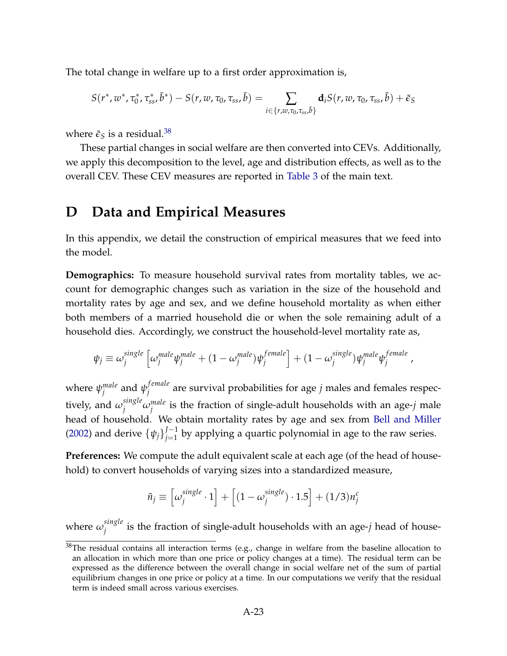The total change in welfare up to a first order approximation is,

$$
S(r^*, w^*, \tau_0^*, \tau_{ss}^*, \bar{b}^*) - S(r, w, \tau_0, \tau_{ss}, \bar{b}) = \sum_{i \in \{r, w, \tau_0, \tau_{ss}, \bar{b}\}} \mathbf{d}_i S(r, w, \tau_0, \tau_{ss}, \bar{b}) + \tilde{\epsilon}_S
$$

where  $\tilde{\epsilon}_S$  is a residual.<sup>[38](#page-0-0)</sup>

These partial changes in social welfare are then converted into CEVs. Additionally, we apply this decomposition to the level, age and distribution effects, as well as to the overall CEV. These CEV measures are reported in [Table 3](#page-0-0) of the main text.

## <span id="page-22-0"></span>**D Data and Empirical Measures**

In this appendix, we detail the construction of empirical measures that we feed into the model.

**Demographics:** To measure household survival rates from mortality tables, we account for demographic changes such as variation in the size of the household and mortality rates by age and sex, and we define household mortality as when either both members of a married household die or when the sole remaining adult of a household dies. Accordingly, we construct the household-level mortality rate as,

$$
\psi_j \equiv \omega_j^{single} \left[ \omega_j^{male} \psi_j^{male} + (1 - \omega_j^{male}) \psi_j^{female} \right] + (1 - \omega_j^{single}) \psi_j^{male} \psi_j^{female},
$$

where *ψ male j* and *ψ f emale j* are survival probabilities for age *j* males and females respectively, and  $\omega_j^{single} \omega_j^{male}$  is the fraction of single-adult households with an age-*j* male head of household. We obtain mortality rates by age and sex from [Bell and Miller](#page-0-0) [\(2002\)](#page-0-0) and derive  $\{\psi_j\}_{j=1}^{J-1}$  $j_{j=1}^{J-1}$  by applying a quartic polynomial in age to the raw series.

**Preferences:** We compute the adult equivalent scale at each age (of the head of household) to convert households of varying sizes into a standardized measure,

$$
\tilde{n}_j \equiv \left[\omega_j^{single} \cdot 1\right] + \left[(1 - \omega_j^{single}) \cdot 1.5\right] + (1/3)n_j^c
$$

where  $\omega_j^{single}$  $j_j^{sing}$  is the fraction of single-adult households with an age- $j$  head of house-

<sup>&</sup>lt;sup>38</sup>The residual contains all interaction terms (e.g., change in welfare from the baseline allocation to an allocation in which more than one price or policy changes at a time). The residual term can be expressed as the difference between the overall change in social welfare net of the sum of partial equilibrium changes in one price or policy at a time. In our computations we verify that the residual term is indeed small across various exercises.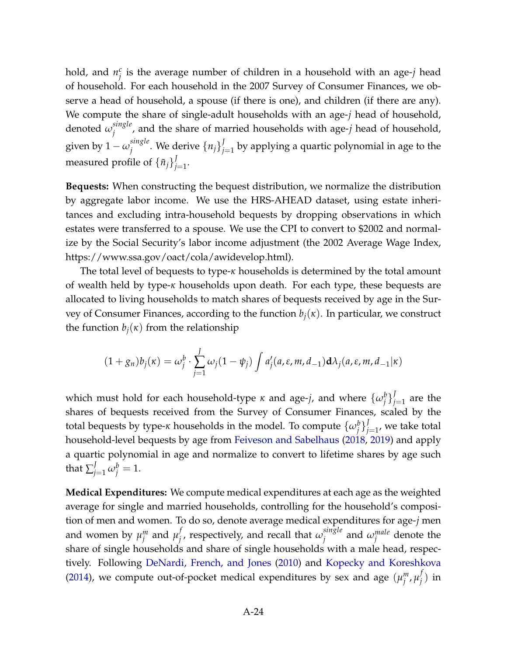hold, and  $n_i^c$ *j* is the average number of children in a household with an age-*j* head of household. For each household in the 2007 Survey of Consumer Finances, we observe a head of household, a spouse (if there is one), and children (if there are any). We compute the share of single-adult households with an age-*j* head of household, denoted *ω single j* , and the share of married households with age-*j* head of household, given by  $1 - \omega_j^{single}$  $\left\{ \begin{array}{l} {j} \ {j} \end{array} \right\}^{j}_{j}$  . We derive  $\left\{ \begin{array}{l} {j} \end{array} \right\}^{j}_{j}$  $j_{j=1}^{\prime}$  by applying a quartic polynomial in age to the measured profile of  $\{\tilde{n}_j\}^J_i$ *j*<br>*j*=1</sub>.

**Bequests:** When constructing the bequest distribution, we normalize the distribution by aggregate labor income. We use the HRS-AHEAD dataset, using estate inheritances and excluding intra-household bequests by dropping observations in which estates were transferred to a spouse. We use the CPI to convert to \$2002 and normalize by the Social Security's labor income adjustment (the 2002 Average Wage Index, https://www.ssa.gov/oact/cola/awidevelop.html).

The total level of bequests to type-*κ* households is determined by the total amount of wealth held by type-*κ* households upon death. For each type, these bequests are allocated to living households to match shares of bequests received by age in the Survey of Consumer Finances, according to the function *bj*(*κ*). In particular, we construct the function  $b_j(x)$  from the relationship

$$
(1+g_n)b_j(\kappa) = \omega_j^b \cdot \sum_{j=1}^J \omega_j (1-\psi_j) \int a'_j(a,\varepsilon,m,d_{-1}) \mathbf{d}\lambda_j(a,\varepsilon,m,d_{-1}|\kappa)
$$

which must hold for each household-type  $\kappa$  and age-*j*, and where  $\{\omega_j^b\}_j^J$  $j=1}^{\prime}$  are the shares of bequests received from the Survey of Consumer Finances, scaled by the total bequests by type-*κ* households in the model. To compute  $\{\omega_j^b\}_j^I$  $j_{j=1}^{\prime}$ , we take total household-level bequests by age from [Feiveson and Sabelhaus](#page-0-0) [\(2018,](#page-0-0) [2019\)](#page-0-0) and apply a quartic polynomial in age and normalize to convert to lifetime shares by age such that  $\sum_{j=1}^J \omega_j^b = 1$ .

**Medical Expenditures:** We compute medical expenditures at each age as the weighted average for single and married households, controlling for the household's composition of men and women. To do so, denote average medical expenditures for age-*j* men and women by  $\mu_i^m$  $\mu_j^m$  and  $\mu_j^f$  $\mu_j^f$ , respectively, and recall that  $\omega_j^{single}$  $j$ <sup>*ingle*</sup> and  $\omega_j^{male}$  denote the share of single households and share of single households with a male head, respectively. Following [DeNardi, French, and Jones](#page-0-0) [\(2010\)](#page-0-0) and [Kopecky and Koreshkova](#page-0-0) [\(2014\)](#page-0-0), we compute out-of-pocket medical expenditures by sex and age  $(\mu_j^m)$ *j* , *µ f*  $_j^{\prime}$ ) in